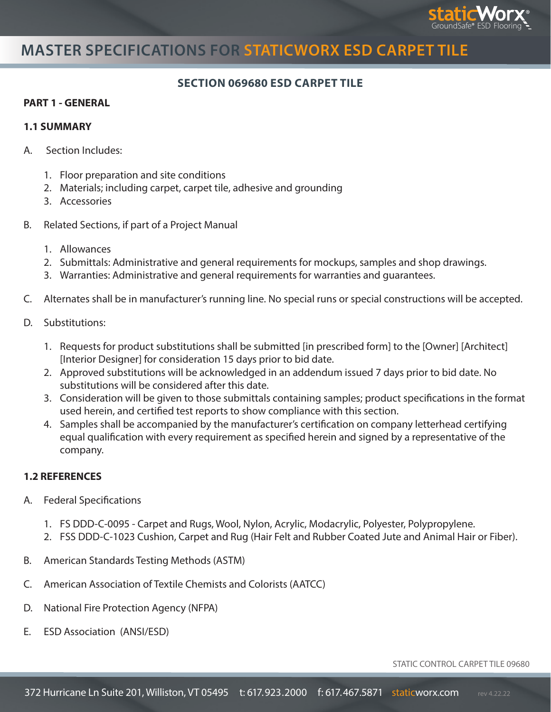

# **MASTER SPECIFICATIONS FOR STATICWORX ESD CARPET TILE**

### **SECTION 069680 ESD CARPET TILE**

#### **PART 1 - GENERAL**

#### **1.1 SUMMARY**

- A. Section Includes:
	- 1. Floor preparation and site conditions
	- 2. Materials; including carpet, carpet tile, adhesive and grounding
	- 3. Accessories
- B. Related Sections, if part of a Project Manual
	- 1. Allowances
	- 2. Submittals: Administrative and general requirements for mockups, samples and shop drawings.
	- 3. Warranties: Administrative and general requirements for warranties and guarantees.
- C. Alternates shall be in manufacturer's running line. No special runs or special constructions will be accepted.
- D. Substitutions:
	- 1. Requests for product substitutions shall be submitted [in prescribed form] to the [Owner] [Architect] [Interior Designer] for consideration 15 days prior to bid date.
	- 2. Approved substitutions will be acknowledged in an addendum issued 7 days prior to bid date. No substitutions will be considered after this date.
	- 3. Consideration will be given to those submittals containing samples; product specifications in the format used herein, and certified test reports to show compliance with this section.
	- 4. Samples shall be accompanied by the manufacturer's certification on company letterhead certifying equal qualification with every requirement as specified herein and signed by a representative of the company.

### **1.2 REFERENCES**

- A. Federal Specifications
	- 1. FS DDD-C-0095 Carpet and Rugs, Wool, Nylon, Acrylic, Modacrylic, Polyester, Polypropylene.
	- 2. FSS DDD-C-1023 Cushion, Carpet and Rug (Hair Felt and Rubber Coated Jute and Animal Hair or Fiber).
- B. American Standards Testing Methods (ASTM)
- C. American Association of Textile Chemists and Colorists (AATCC)
- D. National Fire Protection Agency (NFPA)
- E. ESD Association (ANSI/ESD)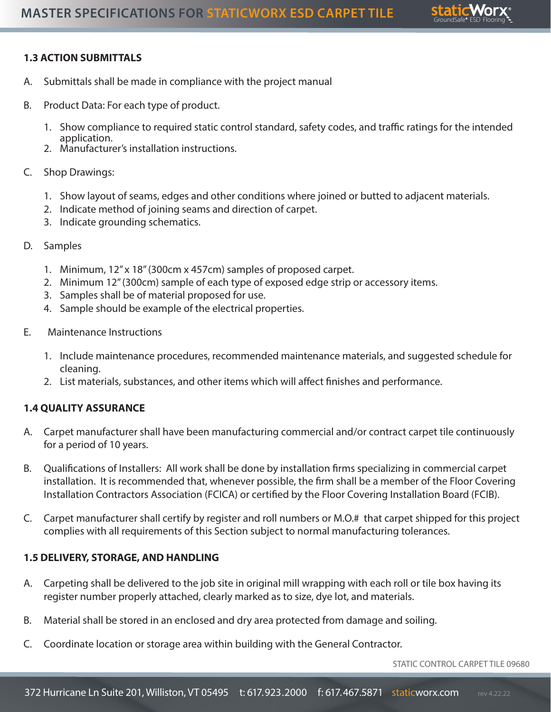

## **1.3 ACTION SUBMITTALS**

- A. Submittals shall be made in compliance with the project manual
- B. Product Data: For each type of product.
	- 1. Show compliance to required static control standard, safety codes, and traffic ratings for the intended application.
	- 2. Manufacturer's installation instructions.
- C. Shop Drawings:
	- 1. Show layout of seams, edges and other conditions where joined or butted to adjacent materials.
	- 2. Indicate method of joining seams and direction of carpet.
	- 3. Indicate grounding schematics.
- D. Samples
	- 1. Minimum, 12" x 18" (300cm x 457cm) samples of proposed carpet.
	- 2. Minimum 12" (300cm) sample of each type of exposed edge strip or accessory items.
	- 3. Samples shall be of material proposed for use.
	- 4. Sample should be example of the electrical properties.
- E. Maintenance Instructions
	- 1. Include maintenance procedures, recommended maintenance materials, and suggested schedule for cleaning.
	- 2. List materials, substances, and other items which will affect finishes and performance.

### **1.4 QUALITY ASSURANCE**

- A. Carpet manufacturer shall have been manufacturing commercial and/or contract carpet tile continuously for a period of 10 years.
- B. Qualifications of Installers: All work shall be done by installation firms specializing in commercial carpet installation. It is recommended that, whenever possible, the firm shall be a member of the Floor Covering Installation Contractors Association (FCICA) or certified by the Floor Covering Installation Board (FCIB).
- C. Carpet manufacturer shall certify by register and roll numbers or M.O.# that carpet shipped for this project complies with all requirements of this Section subject to normal manufacturing tolerances.

### **1.5 DELIVERY, STORAGE, AND HANDLING**

- A. Carpeting shall be delivered to the job site in original mill wrapping with each roll or tile box having its register number properly attached, clearly marked as to size, dye lot, and materials.
- B. Material shall be stored in an enclosed and dry area protected from damage and soiling.
- C. Coordinate location or storage area within building with the General Contractor.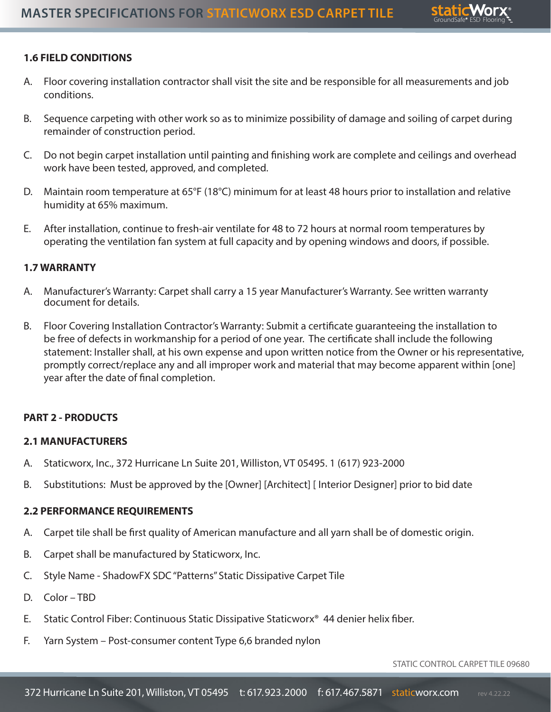

## **1.6 FIELD CONDITIONS**

- A. Floor covering installation contractor shall visit the site and be responsible for all measurements and job conditions.
- B. Sequence carpeting with other work so as to minimize possibility of damage and soiling of carpet during remainder of construction period.
- C. Do not begin carpet installation until painting and finishing work are complete and ceilings and overhead work have been tested, approved, and completed.
- D. Maintain room temperature at 65°F (18°C) minimum for at least 48 hours prior to installation and relative humidity at 65% maximum.
- E. After installation, continue to fresh-air ventilate for 48 to 72 hours at normal room temperatures by operating the ventilation fan system at full capacity and by opening windows and doors, if possible.

### **1.7 WARRANTY**

- A. Manufacturer's Warranty: Carpet shall carry a 15 year Manufacturer's Warranty. See written warranty document for details.
- B. Floor Covering Installation Contractor's Warranty: Submit a certificate guaranteeing the installation to be free of defects in workmanship for a period of one year. The certificate shall include the following statement: Installer shall, at his own expense and upon written notice from the Owner or his representative, promptly correct/replace any and all improper work and material that may become apparent within [one] year after the date of final completion.

### **PART 2 - PRODUCTS**

### **2.1 MANUFACTURERS**

- A. Staticworx, Inc., 372 Hurricane Ln Suite 201, Williston, VT 05495. 1 (617) 923-2000
- B. Substitutions: Must be approved by the [Owner] [Architect] [ Interior Designer] prior to bid date

### **2.2 PERFORMANCE REQUIREMENTS**

- A. Carpet tile shall be first quality of American manufacture and all yarn shall be of domestic origin.
- B. Carpet shall be manufactured by Staticworx, Inc.
- C. Style Name ShadowFX SDC "Patterns" Static Dissipative Carpet Tile
- D. Color TBD
- E. Static Control Fiber: Continuous Static Dissipative Staticworx® 44 denier helix fiber.
- F. Yarn System Post-consumer content Type 6,6 branded nylon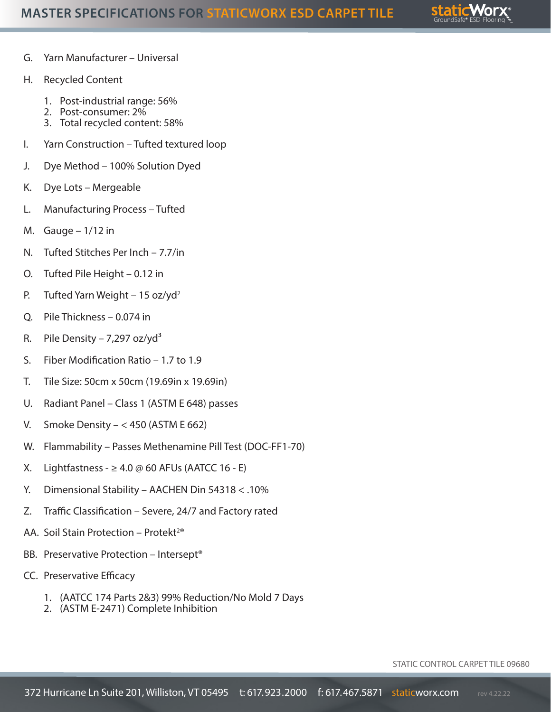

- G. Yarn Manufacturer Universal
- H. Recycled Content
	- 1. Post-industrial range: 56%
	- 2. Post-consumer: 2%
	- 3. Total recycled content: 58%
- I. Yarn Construction Tufted textured loop
- J. Dye Method 100% Solution Dyed
- K. Dye Lots Mergeable
- L. Manufacturing Process Tufted
- M. Gauge  $-1/12$  in
- N. Tufted Stitches Per Inch 7.7/in
- O. Tufted Pile Height 0.12 in
- P. Tufted Yarn Weight 15 oz/yd<sup>2</sup>
- Q. Pile Thickness 0.074 in
- R. Pile Density 7,297 oz/yd<sup>3</sup>
- S. Fiber Modification Ratio 1.7 to 1.9
- T. Tile Size: 50cm x 50cm (19.69in x 19.69in)
- U. Radiant Panel Class 1 (ASTM E 648) passes
- V. Smoke Density  $< 450$  (ASTM E 662)
- W. Flammability Passes Methenamine Pill Test (DOC-FF1-70)
- X. Lightfastness  $\geq 4.0 \oslash 60$  AFUs (AATCC 16 E)
- Y. Dimensional Stability AACHEN Din 54318 < .10%
- Z. Traffic Classification Severe, 24/7 and Factory rated
- AA. Soil Stain Protection Protekt<sup>2®</sup>
- BB. Preservative Protection Intersept®
- CC. Preservative Efficacy
	- 1. (AATCC 174 Parts 2&3) 99% Reduction/No Mold 7 Days
	- 2. (ASTM E-2471) Complete Inhibition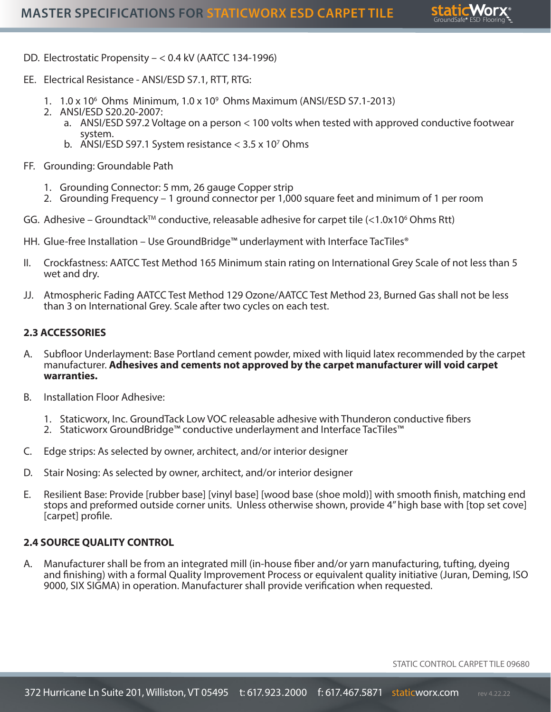

- DD. Electrostatic Propensity < 0.4 kV (AATCC 134-1996)
- EE. Electrical Resistance ANSI/ESD S7.1, RTT, RTG:
	- 1. 1.0 x 106 Ohms Minimum, 1.0 x 109 Ohms Maximum (ANSI/ESD S7.1-2013)
	- 2. ANSI/ESD S20.20-2007:
		- a. ANSI/ESD S97.2 Voltage on a person < 100 volts when tested with approved conductive footwear system.
		- b. ANSI/ESD S97.1 System resistance  $<$  3.5 x 10<sup>7</sup> Ohms
- FF. Grounding: Groundable Path
	- 1. Grounding Connector: 5 mm, 26 gauge Copper strip
	- 2. Grounding Frequency 1 ground connector per 1,000 square feet and minimum of 1 per room
- GG. Adhesive Groundtack™ conductive, releasable adhesive for carpet tile  $\left\langle \right.$ <1.0x10<sup>6</sup> Ohms Rtt)
- HH. Glue-free Installation Use GroundBridge™ underlayment with Interface TacTiles®
- II. Crockfastness: AATCC Test Method 165 Minimum stain rating on International Grey Scale of not less than 5 wet and dry.
- JJ. Atmospheric Fading AATCC Test Method 129 Ozone/AATCC Test Method 23, Burned Gas shall not be less than 3 on International Grey. Scale after two cycles on each test.

#### **2.3 ACCESSORIES**

- A. Subfloor Underlayment: Base Portland cement powder, mixed with liquid latex recommended by the carpet manufacturer. **Adhesives and cements not approved by the carpet manufacturer will void carpet warranties.**
- B. Installation Floor Adhesive:
	- 1. Staticworx, Inc. GroundTack Low VOC releasable adhesive with Thunderon conductive fibers
	- 2. Staticworx GroundBridge™ conductive underlayment and Interface TacTiles™
- C. Edge strips: As selected by owner, architect, and/or interior designer
- D. Stair Nosing: As selected by owner, architect, and/or interior designer
- E. Resilient Base: Provide [rubber base] [vinyl base] [wood base (shoe mold)] with smooth finish, matching end stops and preformed outside corner units. Unless otherwise shown, provide 4" high base with [top set cove] [carpet] profile.

#### **2.4 SOURCE QUALITY CONTROL**

A. Manufacturer shall be from an integrated mill (in-house fiber and/or yarn manufacturing, tufting, dyeing and finishing) with a formal Quality Improvement Process or equivalent quality initiative (Juran, Deming, ISO 9000, SIX SIGMA) in operation. Manufacturer shall provide verification when requested.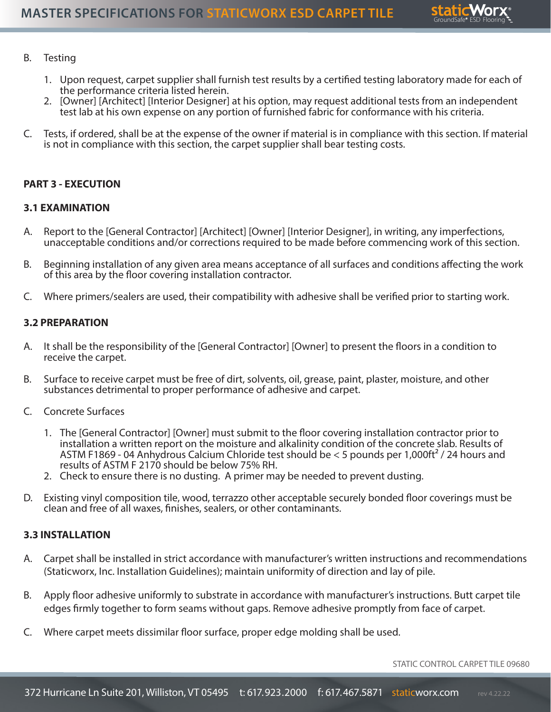

#### B. Testing

- 1. Upon request, carpet supplier shall furnish test results by a certified testing laboratory made for each of the performance criteria listed herein.
- 2. [Owner] [Architect] [Interior Designer] at his option, may request additional tests from an independent test lab at his own expense on any portion of furnished fabric for conformance with his criteria.
- C. Tests, if ordered, shall be at the expense of the owner if material is in compliance with this section. If material is not in compliance with this section, the carpet supplier shall bear testing costs.

#### **PART 3 - EXECUTION**

#### **3.1 EXAMINATION**

- A. Report to the [General Contractor] [Architect] [Owner] [Interior Designer], in writing, any imperfections, unacceptable conditions and/or corrections required to be made before commencing work of this section.
- B. Beginning installation of any given area means acceptance of all surfaces and conditions affecting the work of this area by the floor covering installation contractor.
- C. Where primers/sealers are used, their compatibility with adhesive shall be verified prior to starting work.

#### **3.2 PREPARATION**

- A. It shall be the responsibility of the [General Contractor] [Owner] to present the floors in a condition to receive the carpet.
- B. Surface to receive carpet must be free of dirt, solvents, oil, grease, paint, plaster, moisture, and other substances detrimental to proper performance of adhesive and carpet.
- C. Concrete Surfaces
	- 1. The [General Contractor] [Owner] must submit to the floor covering installation contractor prior to installation a written report on the moisture and alkalinity condition of the concrete slab. Results of ASTM F1869 - 04 Anhydrous Calcium Chloride test should be < 5 pounds per 1,000ft² / 24 hours and results of ASTM F 2170 should be below 75% RH.
	- 2. Check to ensure there is no dusting. A primer may be needed to prevent dusting.
- D. Existing vinyl composition tile, wood, terrazzo other acceptable securely bonded floor coverings must be clean and free of all waxes, finishes, sealers, or other contaminants.

#### **3.3 INSTALLATION**

- A. Carpet shall be installed in strict accordance with manufacturer's written instructions and recommendations (Staticworx, Inc. Installation Guidelines); maintain uniformity of direction and lay of pile.
- B. Apply floor adhesive uniformly to substrate in accordance with manufacturer's instructions. Butt carpet tile edges firmly together to form seams without gaps. Remove adhesive promptly from face of carpet.
- C. Where carpet meets dissimilar floor surface, proper edge molding shall be used.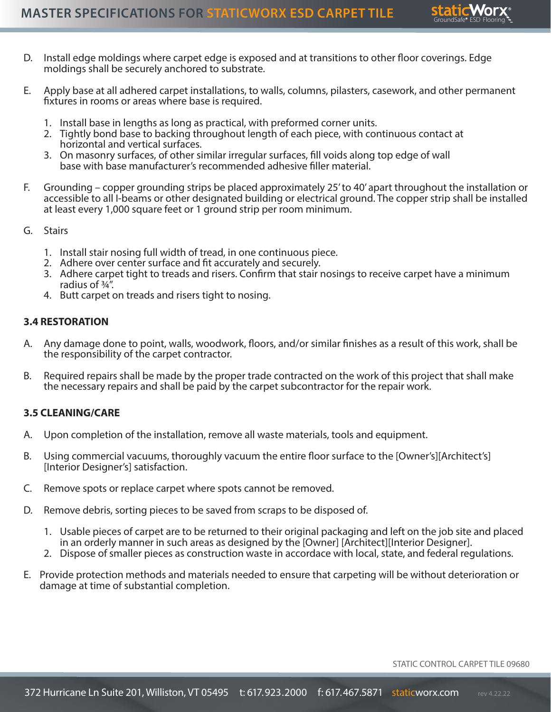

- D. Install edge moldings where carpet edge is exposed and at transitions to other floor coverings. Edge moldings shall be securely anchored to substrate.
- E. Apply base at all adhered carpet installations, to walls, columns, pilasters, casework, and other permanent fixtures in rooms or areas where base is required.
	- 1. Install base in lengths as long as practical, with preformed corner units.
	- 2. Tightly bond base to backing throughout length of each piece, with continuous contact at horizontal and vertical surfaces.
	- 3. On masonry surfaces, of other similar irregular surfaces, fill voids along top edge of wall base with base manufacturer's recommended adhesive filler material.
- F. Grounding copper grounding strips be placed approximately 25' to 40' apart throughout the installation or accessible to all I-beams or other designated building or electrical ground. The copper strip shall be installed at least every 1,000 square feet or 1 ground strip per room minimum.
- G. Stairs
	- 1. Install stair nosing full width of tread, in one continuous piece.
	- 2. Adhere over center surface and fit accurately and securely.
	- 3. Adhere carpet tight to treads and risers. Confirm that stair nosings to receive carpet have a minimum radius of ¾".
	- 4. Butt carpet on treads and risers tight to nosing.

#### **3.4 RESTORATION**

- A. Any damage done to point, walls, woodwork, floors, and/or similar finishes as a result of this work, shall be the responsibility of the carpet contractor.
- B. Required repairs shall be made by the proper trade contracted on the work of this project that shall make the necessary repairs and shall be paid by the carpet subcontractor for the repair work.

#### **3.5 CLEANING/CARE**

- A. Upon completion of the installation, remove all waste materials, tools and equipment.
- B. Using commercial vacuums, thoroughly vacuum the entire floor surface to the [Owner's][Architect's] [Interior Designer's] satisfaction.
- C. Remove spots or replace carpet where spots cannot be removed.
- D. Remove debris, sorting pieces to be saved from scraps to be disposed of.
	- 1. Usable pieces of carpet are to be returned to their original packaging and left on the job site and placed in an orderly manner in such areas as designed by the [Owner] [Architect][Interior Designer].
	- 2. Dispose of smaller pieces as construction waste in accordace with local, state, and federal regulations.
- E. Provide protection methods and materials needed to ensure that carpeting will be without deterioration or damage at time of substantial completion.